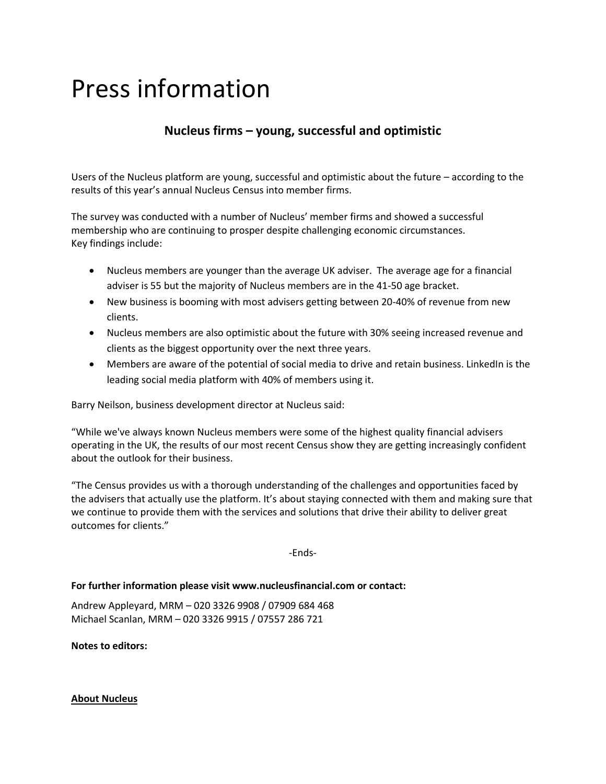## Press information

## **Nucleus firms – young, successful and optimistic**

Users of the Nucleus platform are young, successful and optimistic about the future – according to the results of this year's annual Nucleus Census into member firms.

The survey was conducted with a number of Nucleus' member firms and showed a successful membership who are continuing to prosper despite challenging economic circumstances. Key findings include:

- Nucleus members are younger than the average UK adviser. The average age for a financial adviser is 55 but the majority of Nucleus members are in the 41-50 age bracket.
- New business is booming with most advisers getting between 20-40% of revenue from new clients.
- Nucleus members are also optimistic about the future with 30% seeing increased revenue and clients as the biggest opportunity over the next three years.
- Members are aware of the potential of social media to drive and retain business. LinkedIn is the leading social media platform with 40% of members using it.

Barry Neilson, business development director at Nucleus said:

"While we've always known Nucleus members were some of the highest quality financial advisers operating in the UK, the results of our most recent Census show they are getting increasingly confident about the outlook for their business.

"The Census provides us with a thorough understanding of the challenges and opportunities faced by the advisers that actually use the platform. It's about staying connected with them and making sure that we continue to provide them with the services and solutions that drive their ability to deliver great outcomes for clients."

-Ends-

## **For further information please visit www.nucleusfinancial.com or contact:**

Andrew Appleyard, MRM – 020 3326 9908 / 07909 684 468 Michael Scanlan, MRM – 020 3326 9915 / 07557 286 721

**Notes to editors:**

## **About Nucleus**